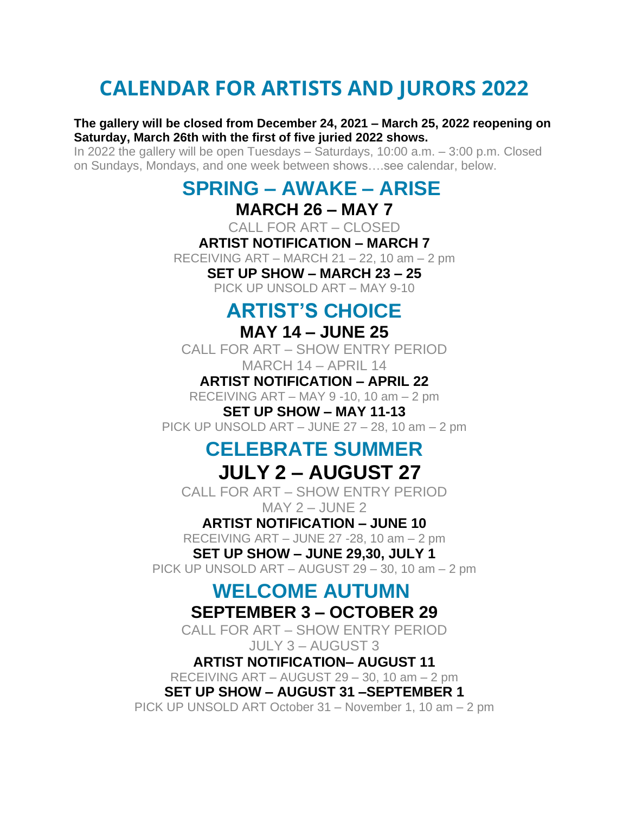## **CALENDAR FOR ARTISTS AND JURORS 2022**

#### **The gallery will be closed from December 24, 2021 – March 25, 2022 reopening on Saturday, March 26th with the first of five juried 2022 shows.**

In 2022 the gallery will be open Tuesdays – Saturdays, 10:00 a.m. – 3:00 p.m. Closed on Sundays, Mondays, and one week between shows….see calendar, below.

### **SPRING – AWAKE – ARISE**

### **MARCH 26 – MAY 7**

CALL FOR ART – CLOSED

#### **ARTIST NOTIFICATION – MARCH 7**

RECEIVING ART – MARCH 21 – 22, 10 am – 2 pm

#### **SET UP SHOW – MARCH 23 – 25**

PICK UP UNSOLD ART – MAY 9-10

## **ARTIST'S CHOICE**

### **MAY 14 – JUNE 25**

CALL FOR ART – SHOW ENTRY PERIOD MARCH 14 – APRIL 14

**ARTIST NOTIFICATION – APRIL 22**

RECEIVING ART – MAY 9 -10, 10 am – 2 pm

**SET UP SHOW – MAY 11-13** PICK UP UNSOLD ART – JUNE 27 – 28, 10 am – 2 pm

# **CELEBRATE SUMMER**

### **JULY 2 – AUGUST 27**

CALL FOR ART – SHOW ENTRY PERIOD  $MAY$  2 – JUNE 2

### **ARTIST NOTIFICATION – JUNE 10**

RECEIVING ART – JUNE 27 -28, 10 am – 2 pm **SET UP SHOW – JUNE 29,30, JULY 1**

PICK UP UNSOLD ART – AUGUST 29 – 30, 10 am – 2 pm

### **WELCOME AUTUMN SEPTEMBER 3 – OCTOBER 29**

CALL FOR ART – SHOW ENTRY PERIOD JULY 3 – AUGUST 3

**ARTIST NOTIFICATION– AUGUST 11** RECEIVING ART – AUGUST 29 – 30, 10 am – 2 pm **SET UP SHOW – AUGUST 31 –SEPTEMBER 1** PICK UP UNSOLD ART October 31 – November 1, 10 am – 2 pm